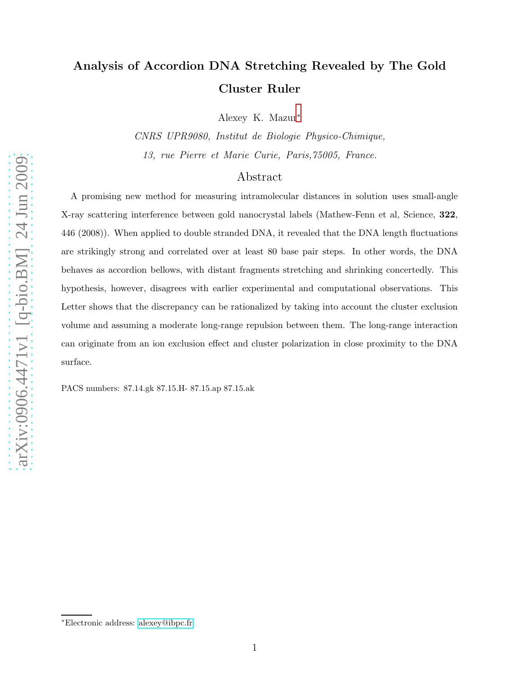## Analysis of Accordion DNA Stretching Revealed by The Gold Cluster Ruler

Alexey K. Mazur[∗](#page-0-0)

CNRS UPR9080, Institut de Biologie Physico-Chimique, 13, rue Pierre et Marie Curie, Paris,75005, France.

## Abstract

A promising new method for measuring intramolecular distances in solution uses small-angle X-ray scattering interference between gold nanocrystal labels (Mathew-Fenn et al, Science, 322, 446 (2008)). When applied to double stranded DNA, it revealed that the DNA length fluctuations are strikingly strong and correlated over at least 80 base pair steps. In other words, the DNA behaves as accordion bellows, with distant fragments stretching and shrinking concertedly. This hypothesis, however, disagrees with earlier experimental and computational observations. This Letter shows that the discrepancy can be rationalized by taking into account the cluster exclusion volume and assuming a moderate long-range repulsion between them. The long-range interaction can originate from an ion exclusion effect and cluster polarization in close proximity to the DNA surface.

PACS numbers: 87.14.gk 87.15.H- 87.15.ap 87.15.ak

<span id="page-0-0"></span><sup>∗</sup>Electronic address: [alexey@ibpc.fr](mailto:alexey@ibpc.fr)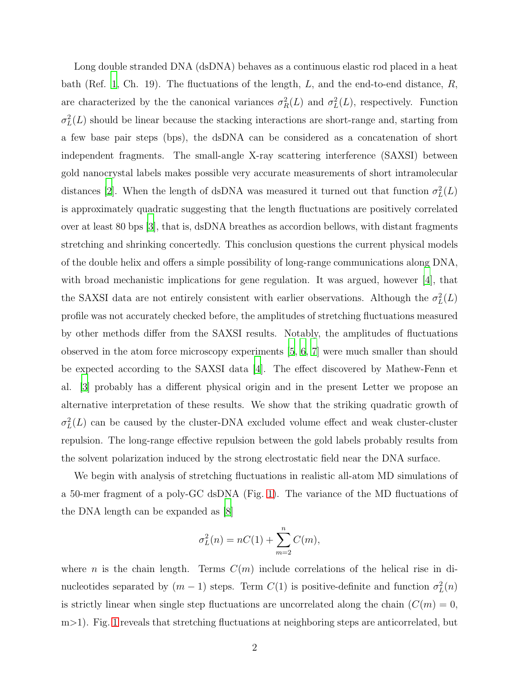Long double stranded DNA (dsDNA) behaves as a continuous elastic rod placed in a heat bath (Ref. [1](#page-7-0), Ch. 19). The fluctuations of the length,  $L$ , and the end-to-end distance,  $R$ , are characterized by the the canonical variances  $\sigma_R^2(L)$  and  $\sigma_L^2$  $L<sup>2</sup>(L)$ , respectively. Function  $\sigma_L^2$  $L<sup>2</sup>(L)$  should be linear because the stacking interactions are short-range and, starting from a few base pair steps (bps), the dsDNA can be considered as a concatenation of short independent fragments. The small-angle X-ray scattering interference (SAXSI) between gold nanocrystal labels makes possible very accurate measurements of short intramolecular distances [\[2\]](#page-7-1). When the length of dsDNA was measured it turned out that function  $\sigma_L^2$  $_L^2(L)$ is approximately quadratic suggesting that the length fluctuations are positively correlated over at least 80 bps [\[3](#page-7-2)], that is, dsDNA breathes as accordion bellows, with distant fragments stretching and shrinking concertedly. This conclusion questions the current physical models of the double helix and offers a simple possibility of long-range communications along DNA, with broad mechanistic implications for gene regulation. It was argued, however [\[4\]](#page-7-3), that the SAXSI data are not entirely consistent with earlier observations. Although the  $\sigma_L^2$  $_L^2(L)$ profile was not accurately checked before, the amplitudes of stretching fluctuations measured by other methods differ from the SAXSI results. Notably, the amplitudes of fluctuations observed in the atom force microscopy experiments [\[5,](#page-7-4) [6,](#page-7-5) [7](#page-8-0)] were much smaller than should be expected according to the SAXSI data [\[4](#page-7-3)]. The effect discovered by Mathew-Fenn et al. [\[3\]](#page-7-2) probably has a different physical origin and in the present Letter we propose an alternative interpretation of these results. We show that the striking quadratic growth of  $\sigma_L^2$  $L<sup>2</sup>(L)$  can be caused by the cluster-DNA excluded volume effect and weak cluster-cluster repulsion. The long-range effective repulsion between the gold labels probably results from the solvent polarization induced by the strong electrostatic field near the DNA surface.

We begin with analysis of stretching fluctuations in realistic all-atom MD simulations of a 50-mer fragment of a poly-GC dsDNA (Fig. [1\)](#page-2-0). The variance of the MD fluctuations of the DNA length can be expanded as [\[8](#page-8-1)]

$$
\sigma_L^2(n) = nC(1) + \sum_{m=2}^n C(m),
$$

where *n* is the chain length. Terms  $C(m)$  include correlations of the helical rise in dinucleotides separated by  $(m-1)$  steps. Term  $C(1)$  is positive-definite and function  $\sigma_L^2$  $L^2(n)$ is strictly linear when single step fluctuations are uncorrelated along the chain  $(C(m) = 0,$ m > [1](#page-2-0)). Fig. 1 reveals that stretching fluctuations at neighboring steps are anticorrelated, but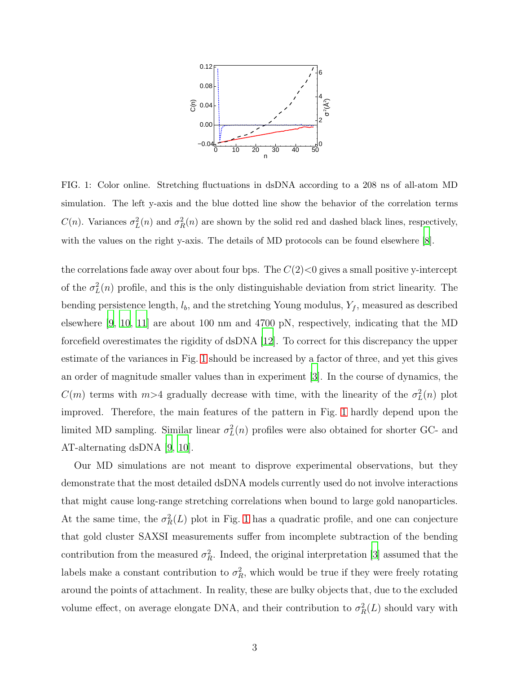

<span id="page-2-0"></span>FIG. 1: Color online. Stretching fluctuations in dsDNA according to a 208 ns of all-atom MD simulation. The left y-axis and the blue dotted line show the behavior of the correlation terms  $C(n)$ . Variances  $\sigma_I^2$  $L^2(n)$  and  $\sigma_F^2$  $R<sub>R</sub>(n)$  are shown by the solid red and dashed black lines, respectively, with the values on the right y-axis. The details of MD protocols can be found elsewhere [\[8\]](#page-8-1).

the correlations fade away over about four bps. The  $C(2)$  gives a small positive y-intercept of the  $\sigma_L^2$  $L(n)$  profile, and this is the only distinguishable deviation from strict linearity. The bending persistence length,  $l_b$ , and the stretching Young modulus,  $Y_f$ , measured as described elsewhere [\[9,](#page-8-2) [10](#page-8-3), [11\]](#page-8-4) are about 100 nm and 4700 pN, respectively, indicating that the MD forcefield overestimates the rigidity of dsDNA [\[12](#page-8-5)]. To correct for this discrepancy the upper estimate of the variances in Fig. [1](#page-2-0) should be increased by a factor of three, and yet this gives an order of magnitude smaller values than in experiment [\[3](#page-7-2)]. In the course of dynamics, the  $C(m)$  terms with  $m>4$  gradually decrease with time, with the linearity of the  $\sigma_L^2$  $L^2(n)$  plot improved. Therefore, the main features of the pattern in Fig. [1](#page-2-0) hardly depend upon the limited MD sampling. Similar linear  $\sigma_L^2$  $L^2(n)$  profiles were also obtained for shorter GC- and AT-alternating dsDNA [\[9](#page-8-2), [10](#page-8-3)].

Our MD simulations are not meant to disprove experimental observations, but they demonstrate that the most detailed dsDNA models currently used do not involve interactions that might cause long-range stretching correlations when bound to large gold nanoparticles. At the same time, the  $\sigma_R^2(L)$  plot in Fig. [1](#page-2-0) has a quadratic profile, and one can conjecture that gold cluster SAXSI measurements suffer from incomplete subtraction of the bending contribution from the measured  $\sigma_R^2$ . Indeed, the original interpretation [\[3\]](#page-7-2) assumed that the labels make a constant contribution to  $\sigma_R^2$ , which would be true if they were freely rotating around the points of attachment. In reality, these are bulky objects that, due to the excluded volume effect, on average elongate DNA, and their contribution to  $\sigma_R^2(L)$  should vary with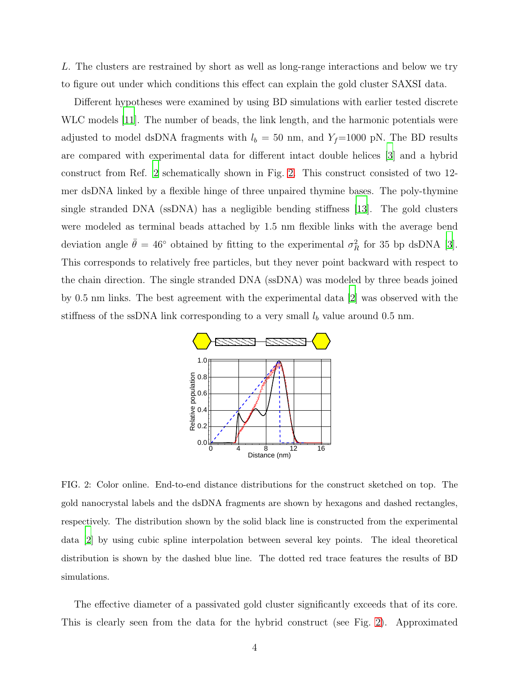L. The clusters are restrained by short as well as long-range interactions and below we try to figure out under which conditions this effect can explain the gold cluster SAXSI data.

Different hypotheses were examined by using BD simulations with earlier tested discrete WLC models [\[11\]](#page-8-4). The number of beads, the link length, and the harmonic potentials were adjusted to model dsDNA fragments with  $l_b = 50$  nm, and  $Y_f$ =1000 pN. The BD results are compared with experimental data for different intact double helices [\[3\]](#page-7-2) and a hybrid construct from Ref. [2](#page-7-1) schematically shown in Fig. [2.](#page-3-0) This construct consisted of two 12 mer dsDNA linked by a flexible hinge of three unpaired thymine bases. The poly-thymine single stranded DNA (ssDNA) has a negligible bending stiffness [\[13](#page-8-6)]. The gold clusters were modeled as terminal beads attached by 1.5 nm flexible links with the average bend deviation angle  $\bar{\theta} = 46^{\circ}$  obtained by fitting to the experimental  $\sigma_R^2$  for 35 bp dsDNA [\[3\]](#page-7-2). This corresponds to relatively free particles, but they never point backward with respect to the chain direction. The single stranded DNA (ssDNA) was modeled by three beads joined by 0.5 nm links. The best agreement with the experimental data [\[2](#page-7-1)] was observed with the stiffness of the ssDNA link corresponding to a very small  $l<sub>b</sub>$  value around 0.5 nm.



<span id="page-3-0"></span>FIG. 2: Color online. End-to-end distance distributions for the construct sketched on top. The gold nanocrystal labels and the dsDNA fragments are shown by hexagons and dashed rectangles, respectively. The distribution shown by the solid black line is constructed from the experimental data [\[2](#page-7-1)] by using cubic spline interpolation between several key points. The ideal theoretical distribution is shown by the dashed blue line. The dotted red trace features the results of BD simulations.

The effective diameter of a passivated gold cluster significantly exceeds that of its core. This is clearly seen from the data for the hybrid construct (see Fig. [2\)](#page-3-0). Approximated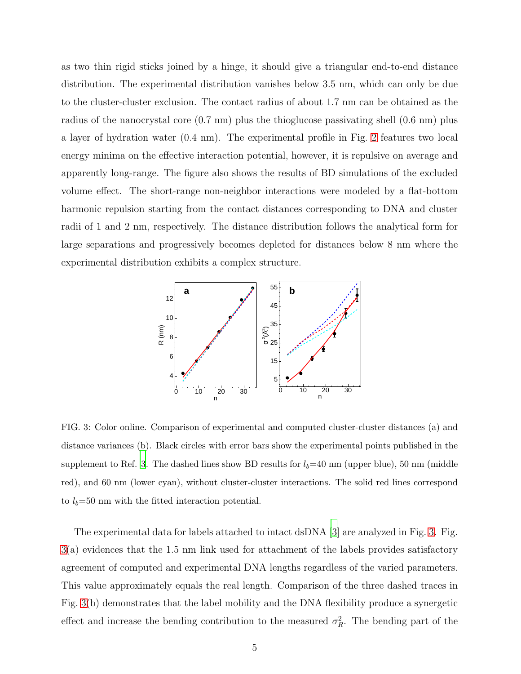as two thin rigid sticks joined by a hinge, it should give a triangular end-to-end distance distribution. The experimental distribution vanishes below 3.5 nm, which can only be due to the cluster-cluster exclusion. The contact radius of about 1.7 nm can be obtained as the radius of the nanocrystal core (0.7 nm) plus the thioglucose passivating shell (0.6 nm) plus a layer of hydration water (0.4 nm). The experimental profile in Fig. [2](#page-3-0) features two local energy minima on the effective interaction potential, however, it is repulsive on average and apparently long-range. The figure also shows the results of BD simulations of the excluded volume effect. The short-range non-neighbor interactions were modeled by a flat-bottom harmonic repulsion starting from the contact distances corresponding to DNA and cluster radii of 1 and 2 nm, respectively. The distance distribution follows the analytical form for large separations and progressively becomes depleted for distances below 8 nm where the experimental distribution exhibits a complex structure.



<span id="page-4-0"></span>FIG. 3: Color online. Comparison of experimental and computed cluster-cluster distances (a) and distance variances (b). Black circles with error bars show the experimental points published in the supplement to Ref. [3](#page-7-2). The dashed lines show BD results for  $l_b=40$  nm (upper blue), 50 nm (middle red), and 60 nm (lower cyan), without cluster-cluster interactions. The solid red lines correspond to  $l_b=50$  nm with the fitted interaction potential.

The experimental data for labels attached to intact dsDNA [\[3](#page-7-2)] are analyzed in Fig. [3.](#page-4-0) Fig. [3\(](#page-4-0)a) evidences that the 1.5 nm link used for attachment of the labels provides satisfactory agreement of computed and experimental DNA lengths regardless of the varied parameters. This value approximately equals the real length. Comparison of the three dashed traces in Fig. [3\(](#page-4-0)b) demonstrates that the label mobility and the DNA flexibility produce a synergetic effect and increase the bending contribution to the measured  $\sigma_R^2$ . The bending part of the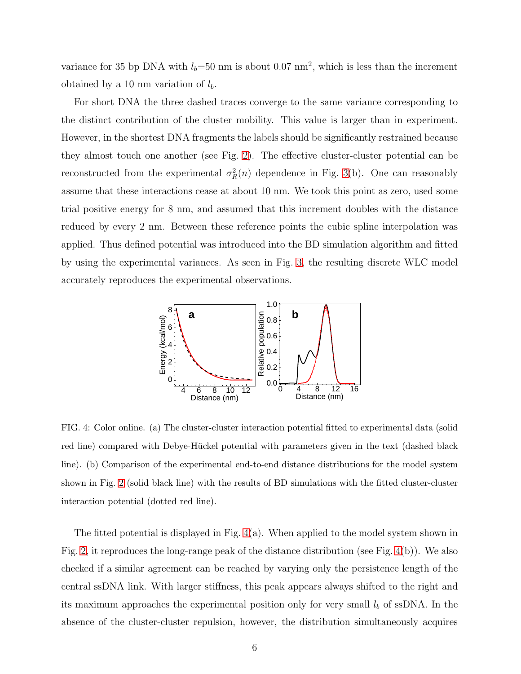variance for 35 bp DNA with  $l_b=50$  nm is about 0.07 nm<sup>2</sup>, which is less than the increment obtained by a 10 nm variation of  $l_b$ .

For short DNA the three dashed traces converge to the same variance corresponding to the distinct contribution of the cluster mobility. This value is larger than in experiment. However, in the shortest DNA fragments the labels should be significantly restrained because they almost touch one another (see Fig. [2\)](#page-3-0). The effective cluster-cluster potential can be reconstructed from the experimental  $\sigma_R^2(n)$  dependence in Fig. [3\(](#page-4-0)b). One can reasonably assume that these interactions cease at about 10 nm. We took this point as zero, used some trial positive energy for 8 nm, and assumed that this increment doubles with the distance reduced by every 2 nm. Between these reference points the cubic spline interpolation was applied. Thus defined potential was introduced into the BD simulation algorithm and fitted by using the experimental variances. As seen in Fig. [3,](#page-4-0) the resulting discrete WLC model accurately reproduces the experimental observations.



<span id="page-5-0"></span>FIG. 4: Color online. (a) The cluster-cluster interaction potential fitted to experimental data (solid red line) compared with Debye-Hückel potential with parameters given in the text (dashed black line). (b) Comparison of the experimental end-to-end distance distributions for the model system shown in Fig. [2](#page-3-0) (solid black line) with the results of BD simulations with the fitted cluster-cluster interaction potential (dotted red line).

The fitted potential is displayed in Fig. [4\(](#page-5-0)a). When applied to the model system shown in Fig. [2,](#page-3-0) it reproduces the long-range peak of the distance distribution (see Fig. [4\(](#page-5-0)b)). We also checked if a similar agreement can be reached by varying only the persistence length of the central ssDNA link. With larger stiffness, this peak appears always shifted to the right and its maximum approaches the experimental position only for very small  $l<sub>b</sub>$  of ssDNA. In the absence of the cluster-cluster repulsion, however, the distribution simultaneously acquires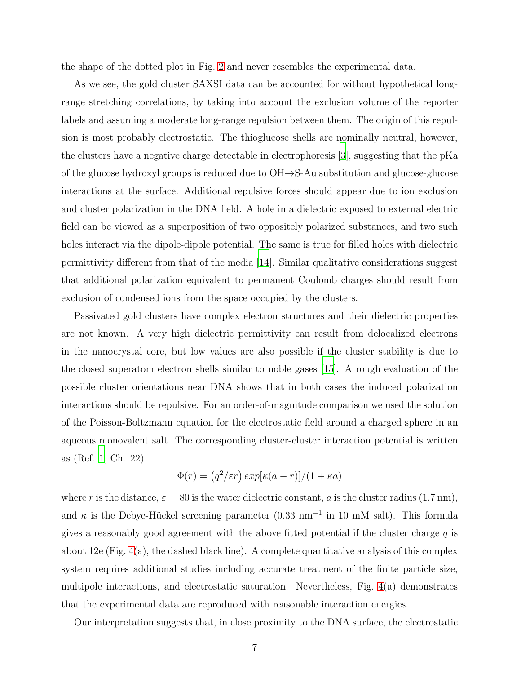the shape of the dotted plot in Fig. [2](#page-3-0) and never resembles the experimental data.

As we see, the gold cluster SAXSI data can be accounted for without hypothetical longrange stretching correlations, by taking into account the exclusion volume of the reporter labels and assuming a moderate long-range repulsion between them. The origin of this repulsion is most probably electrostatic. The thioglucose shells are nominally neutral, however, the clusters have a negative charge detectable in electrophoresis [\[3](#page-7-2)], suggesting that the pKa of the glucose hydroxyl groups is reduced due to OH→S-Au substitution and glucose-glucose interactions at the surface. Additional repulsive forces should appear due to ion exclusion and cluster polarization in the DNA field. A hole in a dielectric exposed to external electric field can be viewed as a superposition of two oppositely polarized substances, and two such holes interact via the dipole-dipole potential. The same is true for filled holes with dielectric permittivity different from that of the media [\[14](#page-8-7)]. Similar qualitative considerations suggest that additional polarization equivalent to permanent Coulomb charges should result from exclusion of condensed ions from the space occupied by the clusters.

Passivated gold clusters have complex electron structures and their dielectric properties are not known. A very high dielectric permittivity can result from delocalized electrons in the nanocrystal core, but low values are also possible if the cluster stability is due to the closed superatom electron shells similar to noble gases [\[15](#page-8-8)]. A rough evaluation of the possible cluster orientations near DNA shows that in both cases the induced polarization interactions should be repulsive. For an order-of-magnitude comparison we used the solution of the Poisson-Boltzmann equation for the electrostatic field around a charged sphere in an aqueous monovalent salt. The corresponding cluster-cluster interaction potential is written as (Ref. [1,](#page-7-0) Ch. 22)

$$
\Phi(r) = (q^2/\varepsilon r) \exp[\kappa(a-r)]/(1+\kappa a)
$$

where r is the distance,  $\varepsilon = 80$  is the water dielectric constant, a is the cluster radius (1.7 nm), and  $\kappa$  is the Debye-Hückel screening parameter (0.33 nm<sup>-1</sup> in 10 mM salt). This formula gives a reasonably good agreement with the above fitted potential if the cluster charge  $q$  is about 12e (Fig. [4\(](#page-5-0)a), the dashed black line). A complete quantitative analysis of this complex system requires additional studies including accurate treatment of the finite particle size, multipole interactions, and electrostatic saturation. Nevertheless, Fig. [4\(](#page-5-0)a) demonstrates that the experimental data are reproduced with reasonable interaction energies.

Our interpretation suggests that, in close proximity to the DNA surface, the electrostatic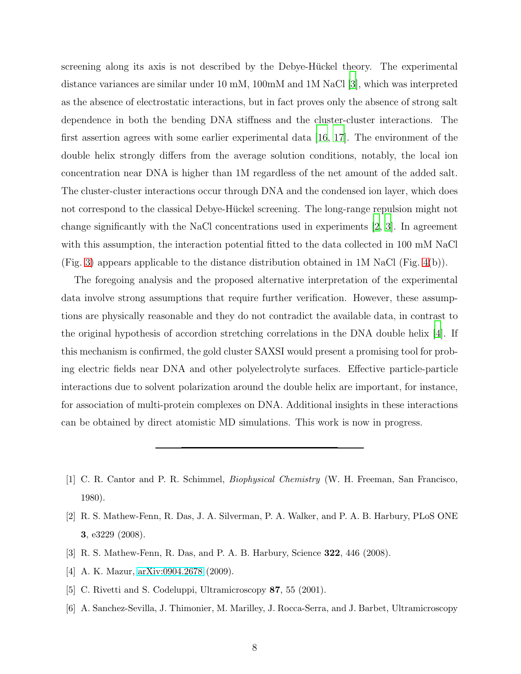screening along its axis is not described by the Debye-Hückel theory. The experimental distance variances are similar under 10 mM, 100mM and 1M NaCl [\[3\]](#page-7-2), which was interpreted as the absence of electrostatic interactions, but in fact proves only the absence of strong salt dependence in both the bending DNA stiffness and the cluster-cluster interactions. The first assertion agrees with some earlier experimental data [\[16](#page-8-9), [17](#page-8-10)]. The environment of the double helix strongly differs from the average solution conditions, notably, the local ion concentration near DNA is higher than 1M regardless of the net amount of the added salt. The cluster-cluster interactions occur through DNA and the condensed ion layer, which does not correspond to the classical Debye-Hückel screening. The long-range repulsion might not change significantly with the NaCl concentrations used in experiments [\[2](#page-7-1), [3](#page-7-2)]. In agreement with this assumption, the interaction potential fitted to the data collected in 100 mM NaCl (Fig. [3\)](#page-4-0) appears applicable to the distance distribution obtained in 1M NaCl (Fig. [4\(](#page-5-0)b)).

The foregoing analysis and the proposed alternative interpretation of the experimental data involve strong assumptions that require further verification. However, these assumptions are physically reasonable and they do not contradict the available data, in contrast to the original hypothesis of accordion stretching correlations in the DNA double helix [\[4\]](#page-7-3). If this mechanism is confirmed, the gold cluster SAXSI would present a promising tool for probing electric fields near DNA and other polyelectrolyte surfaces. Effective particle-particle interactions due to solvent polarization around the double helix are important, for instance, for association of multi-protein complexes on DNA. Additional insights in these interactions can be obtained by direct atomistic MD simulations. This work is now in progress.

- <span id="page-7-1"></span>[2] R. S. Mathew-Fenn, R. Das, J. A. Silverman, P. A. Walker, and P. A. B. Harbury, PLoS ONE 3, e3229 (2008).
- <span id="page-7-2"></span>[3] R. S. Mathew-Fenn, R. Das, and P. A. B. Harbury, Science 322, 446 (2008).
- <span id="page-7-3"></span>[4] A. K. Mazur, [arXiv:0904.2678](http://arxiv.org/abs/0904.2678) (2009).
- <span id="page-7-4"></span>[5] C. Rivetti and S. Codeluppi, Ultramicroscopy 87, 55 (2001).
- <span id="page-7-5"></span>[6] A. Sanchez-Sevilla, J. Thimonier, M. Marilley, J. Rocca-Serra, and J. Barbet, Ultramicroscopy

<span id="page-7-0"></span><sup>[1]</sup> C. R. Cantor and P. R. Schimmel, Biophysical Chemistry (W. H. Freeman, San Francisco, 1980).